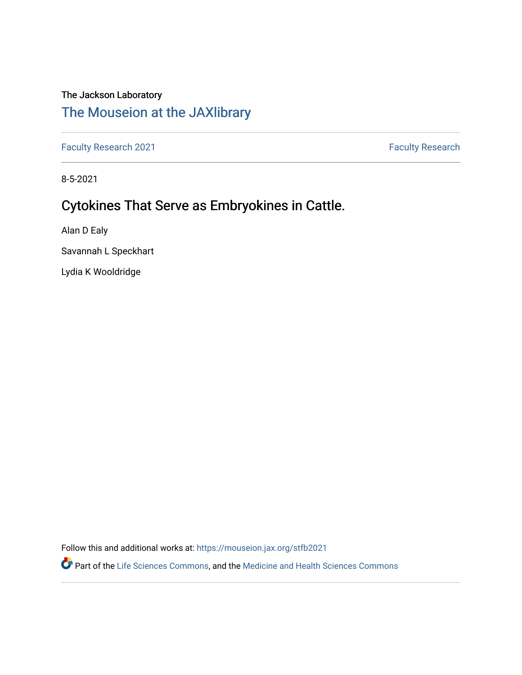# The Jackson Laboratory

# [The Mouseion at the JAXlibrary](https://mouseion.jax.org/)

[Faculty Research 2021](https://mouseion.jax.org/stfb2021) **Faculty Research** 2021

8-5-2021

## Cytokines That Serve as Embryokines in Cattle.

Alan D Ealy

Savannah L Speckhart

Lydia K Wooldridge

Follow this and additional works at: [https://mouseion.jax.org/stfb2021](https://mouseion.jax.org/stfb2021?utm_source=mouseion.jax.org%2Fstfb2021%2F309&utm_medium=PDF&utm_campaign=PDFCoverPages)

Part of the [Life Sciences Commons,](http://network.bepress.com/hgg/discipline/1016?utm_source=mouseion.jax.org%2Fstfb2021%2F309&utm_medium=PDF&utm_campaign=PDFCoverPages) and the [Medicine and Health Sciences Commons](http://network.bepress.com/hgg/discipline/648?utm_source=mouseion.jax.org%2Fstfb2021%2F309&utm_medium=PDF&utm_campaign=PDFCoverPages)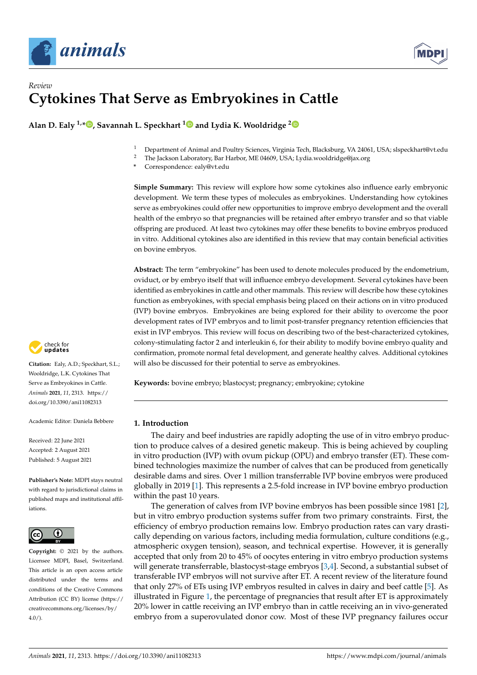



### *Review* **Cytokines That Serve as Embryokines in Cattle**

**Alan D. Ealy 1,[\\*](https://orcid.org/0000-0002-8507-6578) , Savannah L. Speckhart [1](https://orcid.org/0000-0003-2162-9898) and Lydia K. Wooldridge [2](https://orcid.org/0000-0001-6285-9142)**

- <sup>1</sup> Department of Animal and Poultry Sciences, Virginia Tech, Blacksburg, VA 24061, USA; slspeckhart@vt.edu<br><sup>2</sup> The Jackson Laboratory Bar Harbor ME 04600, USA: Lydia wooldridge@iax.org
- <sup>2</sup> The Jackson Laboratory, Bar Harbor, ME 04609, USA; Lydia.wooldridge@jax.org
- **\*** Correspondence: ealy@vt.edu

**Simple Summary:** This review will explore how some cytokines also influence early embryonic development. We term these types of molecules as embryokines. Understanding how cytokines serve as embryokines could offer new opportunities to improve embryo development and the overall health of the embryo so that pregnancies will be retained after embryo transfer and so that viable offspring are produced. At least two cytokines may offer these benefits to bovine embryos produced in vitro. Additional cytokines also are identified in this review that may contain beneficial activities on bovine embryos.

**Abstract:** The term "embryokine" has been used to denote molecules produced by the endometrium, oviduct, or by embryo itself that will influence embryo development. Several cytokines have been identified as embryokines in cattle and other mammals. This review will describe how these cytokines function as embryokines, with special emphasis being placed on their actions on in vitro produced (IVP) bovine embryos. Embryokines are being explored for their ability to overcome the poor development rates of IVP embryos and to limit post-transfer pregnancy retention efficiencies that exist in IVP embryos. This review will focus on describing two of the best-characterized cytokines, colony-stimulating factor 2 and interleukin 6, for their ability to modify bovine embryo quality and confirmation, promote normal fetal development, and generate healthy calves. Additional cytokines will also be discussed for their potential to serve as embryokines.

**Keywords:** bovine embryo; blastocyst; pregnancy; embryokine; cytokine

#### **1. Introduction**

The dairy and beef industries are rapidly adopting the use of in vitro embryo production to produce calves of a desired genetic makeup. This is being achieved by coupling in vitro production (IVP) with ovum pickup (OPU) and embryo transfer (ET). These combined technologies maximize the number of calves that can be produced from genetically desirable dams and sires. Over 1 million transferrable IVP bovine embryos were produced globally in 2019 [\[1\]](#page-10-0). This represents a 2.5-fold increase in IVP bovine embryo production within the past 10 years.

The generation of calves from IVP bovine embryos has been possible since 1981 [\[2\]](#page-10-1), but in vitro embryo production systems suffer from two primary constraints. First, the efficiency of embryo production remains low. Embryo production rates can vary drastically depending on various factors, including media formulation, culture conditions (e.g., atmospheric oxygen tension), season, and technical expertise. However, it is generally accepted that only from 20 to 45% of oocytes entering in vitro embryo production systems will generate transferrable, blastocyst-stage embryos [\[3,](#page-10-2)[4\]](#page-10-3). Second, a substantial subset of transferable IVP embryos will not survive after ET. A recent review of the literature found that only 27% of ETs using IVP embryos resulted in calves in dairy and beef cattle [\[5\]](#page-10-4). As illustrated in Figure [1,](#page-2-0) the percentage of pregnancies that result after ET is approximately 20% lower in cattle receiving an IVP embryo than in cattle receiving an in vivo-generated embryo from a superovulated donor cow. Most of these IVP pregnancy failures occur



**Citation:** Ealy, A.D.; Speckhart, S.L.; Wooldridge, L.K. Cytokines That Serve as Embryokines in Cattle. *Animals* **2021**, *11*, 2313. [https://](https://doi.org/10.3390/ani11082313) [doi.org/10.3390/ani11082313](https://doi.org/10.3390/ani11082313)

Academic Editor: Daniela Bebbere

Received: 22 June 2021 Accepted: 2 August 2021 Published: 5 August 2021

**Publisher's Note:** MDPI stays neutral with regard to jurisdictional claims in published maps and institutional affiliations.



**Copyright:** © 2021 by the authors. Licensee MDPI, Basel, Switzerland. This article is an open access article distributed under the terms and conditions of the Creative Commons Attribution (CC BY) license (https:/[/](https://creativecommons.org/licenses/by/4.0/) [creativecommons.org/licenses/by/](https://creativecommons.org/licenses/by/4.0/) 4.0/).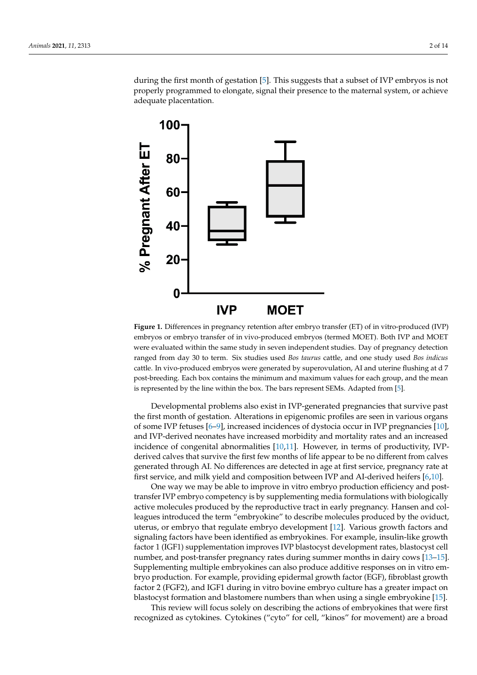during the first month of gestation [\[5\]](#page-10-4). This suggests that a subset of IVP embryos is not during the first month of gestation [5]. This suggests that a subset of IVP embryos is not properly programmed to elongate, signal their presence to the maternal system, or achieve properly programmed to elongate, signal their presence to the maternal system, or achieve adequate placentation. adequate placentation.

<span id="page-2-0"></span>

**Figure 1.** Differences in pregnancy retention after embryo transfer (ET) of in vitro-produced (IVP) **Figure 1.** Differences in pregnancy retention after embryo transfer (ET) of in vitro-produced (IVP) embryos or embryo transfer of in vivo-produced embryos (termed MOET). Both IVP and MOET were evaluated within the same study in seven independent studies. Day of pregnancy detection were evaluated within the same study in seven independent studies. Day of pregnancy detection ranged from day 30 to term. Six studies used Bos taurus cattle, and one study used Bos indicus cattle. In vivo-produced embryos were generated by superovulation, AI and uterine flushing at d 7 post-breeding. Each box contains the minimum and maximum values for each group, and the mean is post-breeding. represented by the line within the box. The bars represent SEMs. Adapted from [5]. is represented by the line within the box. The bars represent SEMs. Adapted from [\[5\]](#page-10-4).

Developmental problems also exist in IVP-generated pregnancies that survive past Developmental problems also exist in IVP-generated pregnancies that survive past the first month of gestation. Alterations in epigenomic profiles are seen in various organs the first month of gestation. Alterations in epigenomic profiles are seen in various organs of some IVP fetuses [6–9], increased incidences of dystocia occur in IVP pregnancies [10], of some IVP fetuses [\[6](#page-10-5)[–9\]](#page-10-6), increased incidences of dystocia occur in IVP pregnancies [\[10\]](#page-10-7), and IVP-derived neonates have increased morbidity and mortality rates and an increased and IVP-derived neonates have increased morbidity and mortality rates and an increased incidence of congenital abnormalities [\[10,](#page-10-7)[11\]](#page-10-8). However, in terms of productivity, IVPderived calves that survive the first few months of life appear to be no different from calves generated through AI. No differences are detected in age at first service, pregnancy rate generated through AI. No differences are detected in age at first service, pregnancy rate at first service, and milk yield and composition between IVP and AI-derived heife[rs](#page-10-5) [\[6,1](#page-10-7)0].

One way we may be able to improve in vitro embryo production efficiency and post-One way we may be able to improve in vitro embryo production efficiency and posttransfer IVP embryo competency is by supplementing media formulations with biologically active molecules produced by the reproductive tract in early pregnancy. Hansen and colleagues introduced the term "embryokine" to describe molecules produced by the oviduct, uterus, or embryo that regulate embryo develop[me](#page-10-9)nt [12]. Various growth factors and signaling factors have been identified as embryokines. For example, insulin-like growth factor 1 (IGF1) supplementation improves IVP blastocyst development rates, blastocyst cell number, and post-transfer pregnancy rates during summer months [in](#page-10-10) [dair](#page-10-11)y cows [13–15]. Supplementing multiple embryokines can also produce additive responses on in vitro embryo production. For example, providing epidermal growth factor (EGF), fibroblast growth factor 2 (FGF2), and IGF1 during in vitro bovine embryo culture has a greater impact on blastocyst formation and blastomere numbers than when using a single embryokine [\[15\]](#page-10-11).

This review will focus solely on describing the actions of embryokines that were first recognized as cytokines. Cytokines ("cyto" for cell, "kinos" for movement) are a broad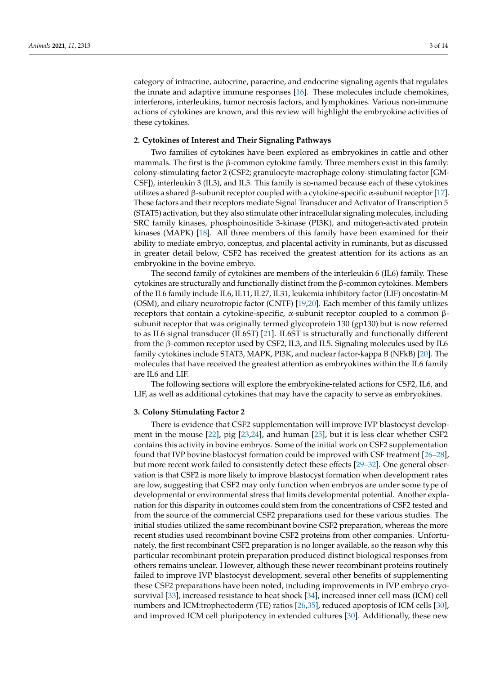category of intracrine, autocrine, paracrine, and endocrine signaling agents that regulates the innate and adaptive immune responses [\[16\]](#page-10-12). These molecules include chemokines, interferons, interleukins, tumor necrosis factors, and lymphokines. Various non-immune actions of cytokines are known, and this review will highlight the embryokine activities of these cytokines.

#### **2. Cytokines of Interest and Their Signaling Pathways**

Two families of cytokines have been explored as embryokines in cattle and other mammals. The first is the  $\beta$ -common cytokine family. Three members exist in this family: colony-stimulating factor 2 (CSF2; granulocyte-macrophage colony-stimulating factor [GM-CSF]), interleukin 3 (IL3), and IL5. This family is so-named because each of these cytokines utilizes a shared  $\beta$ -subunit receptor coupled with a cytokine-specific  $\alpha$ -subunit receptor [\[17\]](#page-11-0). These factors and their receptors mediate Signal Transducer and Activator of Transcription 5 (STAT5) activation, but they also stimulate other intracellular signaling molecules, including SRC family kinases, phosphoinositide 3-kinase (PI3K), and mitogen-activated protein kinases (MAPK) [\[18\]](#page-11-1). All three members of this family have been examined for their ability to mediate embryo, conceptus, and placental activity in ruminants, but as discussed in greater detail below, CSF2 has received the greatest attention for its actions as an embryokine in the bovine embryo.

The second family of cytokines are members of the interleukin 6 (IL6) family. These cytokines are structurally and functionally distinct from the β-common cytokines. Members of the IL6 family include IL6, IL11, IL27, IL31, leukemia inhibitory factor (LIF) oncostatin-M (OSM), and ciliary neurotropic factor (CNTF) [\[19,](#page-11-2)[20\]](#page-11-3). Each member of this family utilizes receptors that contain a cytokine-specific,  $α$ -subunit receptor coupled to a common  $β$ subunit receptor that was originally termed glycoprotein 130 (gp130) but is now referred to as IL6 signal transducer (IL6ST) [\[21\]](#page-11-4). IL6ST is structurally and functionally different from the β-common receptor used by CSF2, IL3, and IL5. Signaling molecules used by IL6 family cytokines include STAT3, MAPK, PI3K, and nuclear factor-kappa B (NFkB) [\[20\]](#page-11-3). The molecules that have received the greatest attention as embryokines within the IL6 family are IL6 and LIF.

The following sections will explore the embryokine-related actions for CSF2, IL6, and LIF, as well as additional cytokines that may have the capacity to serve as embryokines.

#### **3. Colony Stimulating Factor 2**

There is evidence that CSF2 supplementation will improve IVP blastocyst development in the mouse [\[22\]](#page-11-5), pig [\[23,](#page-11-6)[24\]](#page-11-7), and human [\[25\]](#page-11-8), but it is less clear whether CSF2 contains this activity in bovine embryos. Some of the initial work on CSF2 supplementation found that IVP bovine blastocyst formation could be improved with CSF treatment [\[26–](#page-11-9)[28\]](#page-11-10), but more recent work failed to consistently detect these effects [\[29–](#page-11-11)[32\]](#page-11-12). One general observation is that CSF2 is more likely to improve blastocyst formation when development rates are low, suggesting that CSF2 may only function when embryos are under some type of developmental or environmental stress that limits developmental potential. Another explanation for this disparity in outcomes could stem from the concentrations of CSF2 tested and from the source of the commercial CSF2 preparations used for these various studies. The initial studies utilized the same recombinant bovine CSF2 preparation, whereas the more recent studies used recombinant bovine CSF2 proteins from other companies. Unfortunately, the first recombinant CSF2 preparation is no longer available, so the reason why this particular recombinant protein preparation produced distinct biological responses from others remains unclear. However, although these newer recombinant proteins routinely failed to improve IVP blastocyst development, several other benefits of supplementing these CSF2 preparations have been noted, including improvements in IVP embryo cryosurvival [\[33\]](#page-11-13), increased resistance to heat shock [\[34\]](#page-11-14), increased inner cell mass (ICM) cell numbers and ICM:trophectoderm (TE) ratios [\[26](#page-11-9)[,35\]](#page-11-15), reduced apoptosis of ICM cells [\[30\]](#page-11-16), and improved ICM cell pluripotency in extended cultures [\[30\]](#page-11-16). Additionally, these new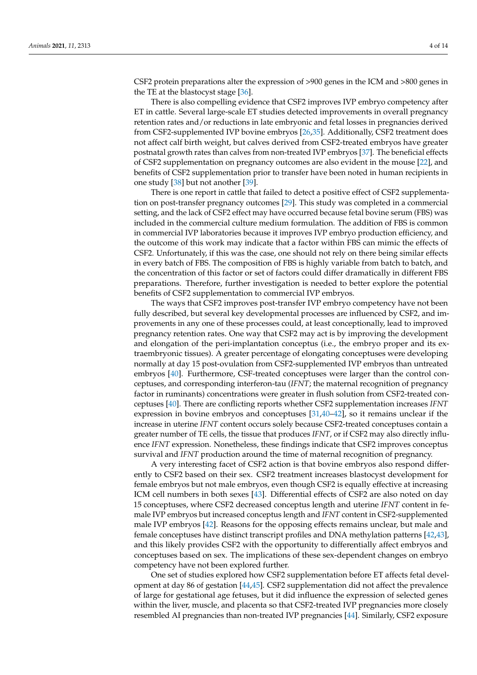CSF2 protein preparations alter the expression of >900 genes in the ICM and >800 genes in the TE at the blastocyst stage [\[36\]](#page-11-17).

There is also compelling evidence that CSF2 improves IVP embryo competency after ET in cattle. Several large-scale ET studies detected improvements in overall pregnancy retention rates and/or reductions in late embryonic and fetal losses in pregnancies derived from CSF2-supplemented IVP bovine embryos [\[26](#page-11-9)[,35\]](#page-11-15). Additionally, CSF2 treatment does not affect calf birth weight, but calves derived from CSF2-treated embryos have greater postnatal growth rates than calves from non-treated IVP embryos [\[37\]](#page-11-18). The beneficial effects of CSF2 supplementation on pregnancy outcomes are also evident in the mouse [\[22\]](#page-11-5), and benefits of CSF2 supplementation prior to transfer have been noted in human recipients in one study [\[38\]](#page-11-19) but not another [\[39\]](#page-11-20).

There is one report in cattle that failed to detect a positive effect of CSF2 supplementation on post-transfer pregnancy outcomes [\[29\]](#page-11-11). This study was completed in a commercial setting, and the lack of CSF2 effect may have occurred because fetal bovine serum (FBS) was included in the commercial culture medium formulation. The addition of FBS is common in commercial IVP laboratories because it improves IVP embryo production efficiency, and the outcome of this work may indicate that a factor within FBS can mimic the effects of CSF2. Unfortunately, if this was the case, one should not rely on there being similar effects in every batch of FBS. The composition of FBS is highly variable from batch to batch, and the concentration of this factor or set of factors could differ dramatically in different FBS preparations. Therefore, further investigation is needed to better explore the potential benefits of CSF2 supplementation to commercial IVP embryos.

The ways that CSF2 improves post-transfer IVP embryo competency have not been fully described, but several key developmental processes are influenced by CSF2, and improvements in any one of these processes could, at least conceptionally, lead to improved pregnancy retention rates. One way that CSF2 may act is by improving the development and elongation of the peri-implantation conceptus (i.e., the embryo proper and its extraembryonic tissues). A greater percentage of elongating conceptuses were developing normally at day 15 post-ovulation from CSF2-supplemented IVP embryos than untreated embryos [\[40\]](#page-11-21). Furthermore, CSF-treated conceptuses were larger than the control conceptuses, and corresponding interferon-tau (*IFNT*; the maternal recognition of pregnancy factor in ruminants) concentrations were greater in flush solution from CSF2-treated conceptuses [\[40\]](#page-11-21). There are conflicting reports whether CSF2 supplementation increases *IFNT* expression in bovine embryos and conceptuses [\[31,](#page-11-22)[40–](#page-11-21)[42\]](#page-12-0), so it remains unclear if the increase in uterine *IFNT* content occurs solely because CSF2-treated conceptuses contain a greater number of TE cells, the tissue that produces *IFNT*, or if CSF2 may also directly influence *IFNT* expression. Nonetheless, these findings indicate that CSF2 improves conceptus survival and *IFNT* production around the time of maternal recognition of pregnancy.

A very interesting facet of CSF2 action is that bovine embryos also respond differently to CSF2 based on their sex. CSF2 treatment increases blastocyst development for female embryos but not male embryos, even though CSF2 is equally effective at increasing ICM cell numbers in both sexes [\[43\]](#page-12-1). Differential effects of CSF2 are also noted on day 15 conceptuses, where CSF2 decreased conceptus length and uterine *IFNT* content in female IVP embryos but increased conceptus length and *IFNT* content in CSF2-supplemented male IVP embryos [\[42\]](#page-12-0). Reasons for the opposing effects remains unclear, but male and female conceptuses have distinct transcript profiles and DNA methylation patterns [\[42](#page-12-0)[,43\]](#page-12-1), and this likely provides CSF2 with the opportunity to differentially affect embryos and conceptuses based on sex. The implications of these sex-dependent changes on embryo competency have not been explored further.

One set of studies explored how CSF2 supplementation before ET affects fetal development at day 86 of gestation [\[44,](#page-12-2)[45\]](#page-12-3). CSF2 supplementation did not affect the prevalence of large for gestational age fetuses, but it did influence the expression of selected genes within the liver, muscle, and placenta so that CSF2-treated IVP pregnancies more closely resembled AI pregnancies than non-treated IVP pregnancies [\[44\]](#page-12-2). Similarly, CSF2 exposure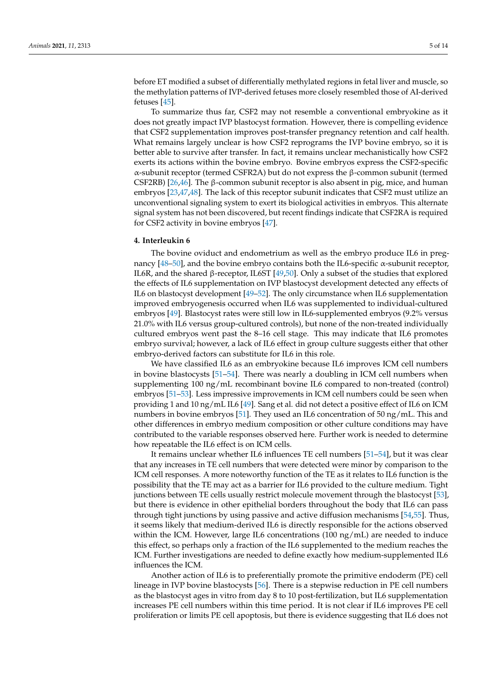before ET modified a subset of differentially methylated regions in fetal liver and muscle, so the methylation patterns of IVP-derived fetuses more closely resembled those of AI-derived fetuses [\[45\]](#page-12-3).

To summarize thus far, CSF2 may not resemble a conventional embryokine as it does not greatly impact IVP blastocyst formation. However, there is compelling evidence that CSF2 supplementation improves post-transfer pregnancy retention and calf health. What remains largely unclear is how CSF2 reprograms the IVP bovine embryo, so it is better able to survive after transfer. In fact, it remains unclear mechanistically how CSF2 exerts its actions within the bovine embryo. Bovine embryos express the CSF2-specific α-subunit receptor (termed CSFR2A) but do not express the β-common subunit (termed CSF2RB) [\[26](#page-11-9)[,46\]](#page-12-4). The β-common subunit receptor is also absent in pig, mice, and human embryos [\[23,](#page-11-6)[47,](#page-12-5)[48\]](#page-12-6). The lack of this receptor subunit indicates that CSF2 must utilize an unconventional signaling system to exert its biological activities in embryos. This alternate signal system has not been discovered, but recent findings indicate that CSF2RA is required for CSF2 activity in bovine embryos [\[47\]](#page-12-5).

#### **4. Interleukin 6**

The bovine oviduct and endometrium as well as the embryo produce IL6 in preg-nancy [\[48](#page-12-6)[–50\]](#page-12-7), and the bovine embryo contains both the IL6-specific  $\alpha$ -subunit receptor, IL6R, and the shared β-receptor, IL6ST [\[49,](#page-12-8)[50\]](#page-12-7). Only a subset of the studies that explored the effects of IL6 supplementation on IVP blastocyst development detected any effects of IL6 on blastocyst development [\[49–](#page-12-8)[52\]](#page-12-9). The only circumstance when IL6 supplementation improved embryogenesis occurred when IL6 was supplemented to individual-cultured embryos [\[49\]](#page-12-8). Blastocyst rates were still low in IL6-supplemented embryos (9.2% versus 21.0% with IL6 versus group-cultured controls), but none of the non-treated individually cultured embryos went past the 8–16 cell stage. This may indicate that IL6 promotes embryo survival; however, a lack of IL6 effect in group culture suggests either that other embryo-derived factors can substitute for IL6 in this role.

We have classified IL6 as an embryokine because IL6 improves ICM cell numbers in bovine blastocysts [\[51](#page-12-10)[–54\]](#page-12-11). There was nearly a doubling in ICM cell numbers when supplementing 100 ng/mL recombinant bovine IL6 compared to non-treated (control) embryos [\[51–](#page-12-10)[53\]](#page-12-12). Less impressive improvements in ICM cell numbers could be seen when providing 1 and 10 ng/mL IL6 [\[49\]](#page-12-8). Sang et al. did not detect a positive effect of IL6 on ICM numbers in bovine embryos [\[51\]](#page-12-10). They used an IL6 concentration of 50 ng/mL. This and other differences in embryo medium composition or other culture conditions may have contributed to the variable responses observed here. Further work is needed to determine how repeatable the IL6 effect is on ICM cells.

It remains unclear whether IL6 influences TE cell numbers [\[51](#page-12-10)[–54\]](#page-12-11), but it was clear that any increases in TE cell numbers that were detected were minor by comparison to the ICM cell responses. A more noteworthy function of the TE as it relates to IL6 function is the possibility that the TE may act as a barrier for IL6 provided to the culture medium. Tight junctions between TE cells usually restrict molecule movement through the blastocyst [\[53\]](#page-12-12), but there is evidence in other epithelial borders throughout the body that IL6 can pass through tight junctions by using passive and active diffusion mechanisms [\[54](#page-12-11)[,55\]](#page-12-13). Thus, it seems likely that medium-derived IL6 is directly responsible for the actions observed within the ICM. However, large IL6 concentrations  $(100 \text{ ng/mL})$  are needed to induce this effect, so perhaps only a fraction of the IL6 supplemented to the medium reaches the ICM. Further investigations are needed to define exactly how medium-supplemented IL6 influences the ICM.

Another action of IL6 is to preferentially promote the primitive endoderm (PE) cell lineage in IVP bovine blastocysts [\[56\]](#page-12-14). There is a stepwise reduction in PE cell numbers as the blastocyst ages in vitro from day 8 to 10 post-fertilization, but IL6 supplementation increases PE cell numbers within this time period. It is not clear if IL6 improves PE cell proliferation or limits PE cell apoptosis, but there is evidence suggesting that IL6 does not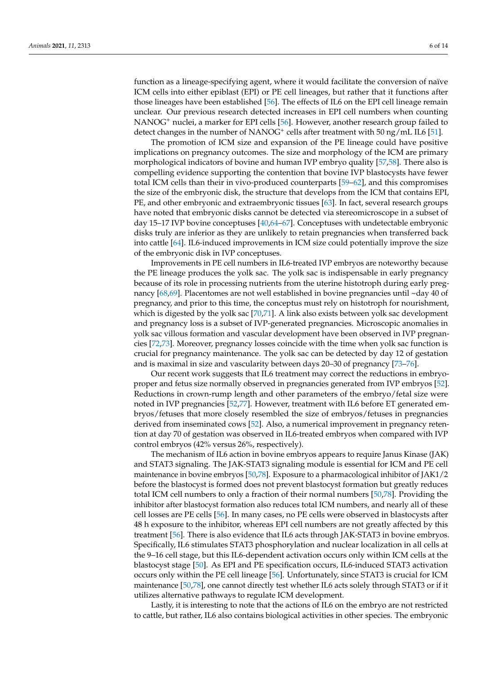function as a lineage-specifying agent, where it would facilitate the conversion of naïve ICM cells into either epiblast (EPI) or PE cell lineages, but rather that it functions after those lineages have been established [\[56\]](#page-12-14). The effects of IL6 on the EPI cell lineage remain unclear. Our previous research detected increases in EPI cell numbers when counting NANOG<sup>+</sup> nuclei, a marker for EPI cells [\[56\]](#page-12-14). However, another research group failed to detect changes in the number of NANOG<sup>+</sup> cells after treatment with 50 ng/mL IL6 [\[51\]](#page-12-10).

The promotion of ICM size and expansion of the PE lineage could have positive implications on pregnancy outcomes. The size and morphology of the ICM are primary morphological indicators of bovine and human IVP embryo quality [\[57,](#page-12-15)[58\]](#page-12-16). There also is compelling evidence supporting the contention that bovine IVP blastocysts have fewer total ICM cells than their in vivo-produced counterparts [\[59](#page-12-17)[–62\]](#page-12-18), and this compromises the size of the embryonic disk, the structure that develops from the ICM that contains EPI, PE, and other embryonic and extraembryonic tissues [\[63\]](#page-12-19). In fact, several research groups have noted that embryonic disks cannot be detected via stereomicroscope in a subset of day 15–17 IVP bovine conceptuses [\[40](#page-11-21)[,64](#page-12-20)[–67\]](#page-13-0). Conceptuses with undetectable embryonic disks truly are inferior as they are unlikely to retain pregnancies when transferred back into cattle [\[64\]](#page-12-20). IL6-induced improvements in ICM size could potentially improve the size of the embryonic disk in IVP conceptuses.

Improvements in PE cell numbers in IL6-treated IVP embryos are noteworthy because the PE lineage produces the yolk sac. The yolk sac is indispensable in early pregnancy because of its role in processing nutrients from the uterine histotroph during early pregnancy [\[68,](#page-13-1)[69\]](#page-13-2). Placentomes are not well established in bovine pregnancies until ~day 40 of pregnancy, and prior to this time, the conceptus must rely on histotroph for nourishment, which is digested by the yolk sac [\[70,](#page-13-3)[71\]](#page-13-4). A link also exists between yolk sac development and pregnancy loss is a subset of IVP-generated pregnancies. Microscopic anomalies in yolk sac villous formation and vascular development have been observed in IVP pregnancies [\[72](#page-13-5)[,73\]](#page-13-6). Moreover, pregnancy losses coincide with the time when yolk sac function is crucial for pregnancy maintenance. The yolk sac can be detected by day 12 of gestation and is maximal in size and vascularity between days 20–30 of pregnancy [\[73](#page-13-6)[–76\]](#page-13-7).

Our recent work suggests that IL6 treatment may correct the reductions in embryoproper and fetus size normally observed in pregnancies generated from IVP embryos [\[52\]](#page-12-9). Reductions in crown-rump length and other parameters of the embryo/fetal size were noted in IVP pregnancies [\[52](#page-12-9)[,77\]](#page-13-8). However, treatment with IL6 before ET generated embryos/fetuses that more closely resembled the size of embryos/fetuses in pregnancies derived from inseminated cows [\[52\]](#page-12-9). Also, a numerical improvement in pregnancy retention at day 70 of gestation was observed in IL6-treated embryos when compared with IVP control embryos (42% versus 26%, respectively).

The mechanism of IL6 action in bovine embryos appears to require Janus Kinase (JAK) and STAT3 signaling. The JAK-STAT3 signaling module is essential for ICM and PE cell maintenance in bovine embryos [\[50,](#page-12-7)[78\]](#page-13-9). Exposure to a pharmacological inhibitor of JAK1/2 before the blastocyst is formed does not prevent blastocyst formation but greatly reduces total ICM cell numbers to only a fraction of their normal numbers [\[50](#page-12-7)[,78\]](#page-13-9). Providing the inhibitor after blastocyst formation also reduces total ICM numbers, and nearly all of these cell losses are PE cells [\[56\]](#page-12-14). In many cases, no PE cells were observed in blastocysts after 48 h exposure to the inhibitor, whereas EPI cell numbers are not greatly affected by this treatment [\[56\]](#page-12-14). There is also evidence that IL6 acts through JAK-STAT3 in bovine embryos. Specifically, IL6 stimulates STAT3 phosphorylation and nuclear localization in all cells at the 9–16 cell stage, but this IL6-dependent activation occurs only within ICM cells at the blastocyst stage [\[50\]](#page-12-7). As EPI and PE specification occurs, IL6-induced STAT3 activation occurs only within the PE cell lineage [\[56\]](#page-12-14). Unfortunately, since STAT3 is crucial for ICM maintenance [\[50](#page-12-7)[,78\]](#page-13-9), one cannot directly test whether IL6 acts solely through STAT3 or if it utilizes alternative pathways to regulate ICM development.

Lastly, it is interesting to note that the actions of IL6 on the embryo are not restricted to cattle, but rather, IL6 also contains biological activities in other species. The embryonic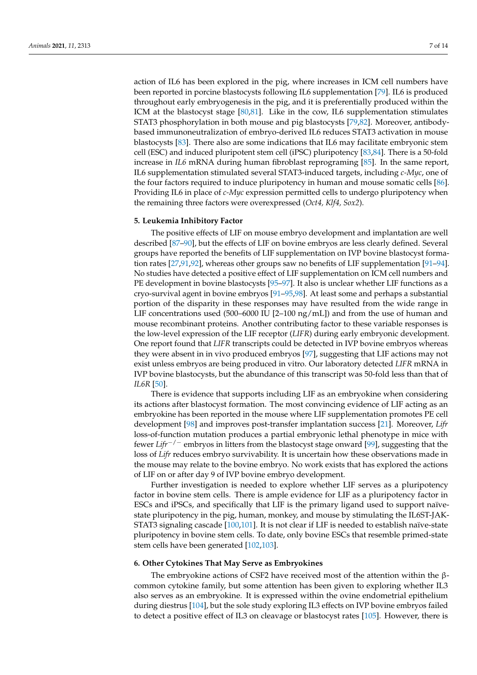action of IL6 has been explored in the pig, where increases in ICM cell numbers have been reported in porcine blastocysts following IL6 supplementation [\[79\]](#page-13-10). IL6 is produced throughout early embryogenesis in the pig, and it is preferentially produced within the ICM at the blastocyst stage [\[80](#page-13-11)[,81\]](#page-13-12). Like in the cow, IL6 supplementation stimulates STAT3 phosphorylation in both mouse and pig blastocysts [\[79](#page-13-10)[,82\]](#page-13-13). Moreover, antibodybased immunoneutralization of embryo-derived IL6 reduces STAT3 activation in mouse blastocysts [\[83\]](#page-13-14). There also are some indications that IL6 may facilitate embryonic stem cell (ESC) and induced pluripotent stem cell (iPSC) pluripotency [\[83,](#page-13-14)[84\]](#page-13-15). There is a 50-fold increase in *IL6* mRNA during human fibroblast reprograming [\[85\]](#page-13-16). In the same report, IL6 supplementation stimulated several STAT3-induced targets, including *c-Myc*, one of the four factors required to induce pluripotency in human and mouse somatic cells [\[86\]](#page-13-17). Providing IL6 in place of *c-Myc* expression permitted cells to undergo pluripotency when the remaining three factors were overexpressed (*Oct4, Klf4, Sox2*).

#### **5. Leukemia Inhibitory Factor**

The positive effects of LIF on mouse embryo development and implantation are well described [\[87–](#page-13-18)[90\]](#page-13-19), but the effects of LIF on bovine embryos are less clearly defined. Several groups have reported the benefits of LIF supplementation on IVP bovine blastocyst formation rates [\[27](#page-11-23)[,91](#page-14-0)[,92\]](#page-14-1), whereas other groups saw no benefits of LIF supplementation [\[91](#page-14-0)[–94\]](#page-14-2). No studies have detected a positive effect of LIF supplementation on ICM cell numbers and PE development in bovine blastocysts [\[95](#page-14-3)[–97\]](#page-14-4). It also is unclear whether LIF functions as a cryo-survival agent in bovine embryos [\[91–](#page-14-0)[95,](#page-14-3)[98\]](#page-14-5). At least some and perhaps a substantial portion of the disparity in these responses may have resulted from the wide range in LIF concentrations used (500–6000 IU [2–100 ng/mL]) and from the use of human and mouse recombinant proteins. Another contributing factor to these variable responses is the low-level expression of the LIF receptor (*LIFR*) during early embryonic development. One report found that *LIFR* transcripts could be detected in IVP bovine embryos whereas they were absent in in vivo produced embryos [\[97\]](#page-14-4), suggesting that LIF actions may not exist unless embryos are being produced in vitro. Our laboratory detected *LIFR* mRNA in IVP bovine blastocysts, but the abundance of this transcript was 50-fold less than that of *IL6R* [\[50\]](#page-12-7).

There is evidence that supports including LIF as an embryokine when considering its actions after blastocyst formation. The most convincing evidence of LIF acting as an embryokine has been reported in the mouse where LIF supplementation promotes PE cell development [\[98\]](#page-14-5) and improves post-transfer implantation success [\[21\]](#page-11-4). Moreover, *Lifr* loss-of-function mutation produces a partial embryonic lethal phenotype in mice with fewer *Lifr*−/<sup>−</sup> embryos in litters from the blastocyst stage onward [\[99\]](#page-14-6), suggesting that the loss of *Lifr* reduces embryo survivability. It is uncertain how these observations made in the mouse may relate to the bovine embryo. No work exists that has explored the actions of LIF on or after day 9 of IVP bovine embryo development.

Further investigation is needed to explore whether LIF serves as a pluripotency factor in bovine stem cells. There is ample evidence for LIF as a pluripotency factor in ESCs and iPSCs, and specifically that LIF is the primary ligand used to support naïvestate pluripotency in the pig, human, monkey, and mouse by stimulating the IL6ST-JAK-STAT3 signaling cascade [\[100](#page-14-7)[,101\]](#page-14-8). It is not clear if LIF is needed to establish naïve-state pluripotency in bovine stem cells. To date, only bovine ESCs that resemble primed-state stem cells have been generated [\[102,](#page-14-9)[103\]](#page-14-10).

#### **6. Other Cytokines That May Serve as Embryokines**

The embryokine actions of CSF2 have received most of the attention within the βcommon cytokine family, but some attention has been given to exploring whether IL3 also serves as an embryokine. It is expressed within the ovine endometrial epithelium during diestrus [\[104\]](#page-14-11), but the sole study exploring IL3 effects on IVP bovine embryos failed to detect a positive effect of IL3 on cleavage or blastocyst rates [\[105\]](#page-14-12). However, there is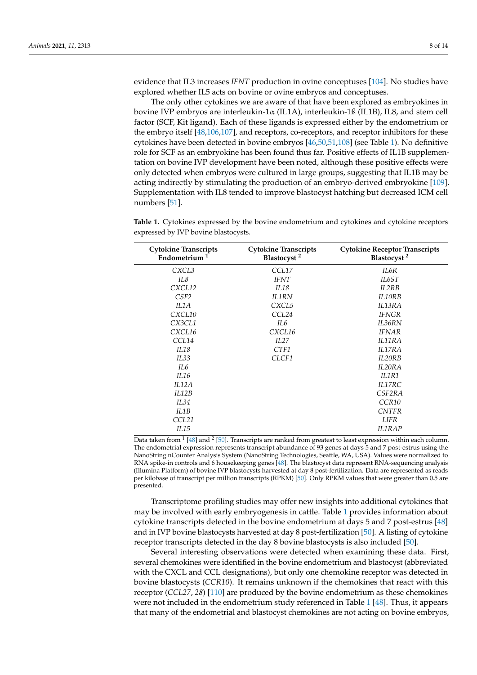evidence that IL3 increases *IFNT* production in ovine conceptuses [\[104\]](#page-14-11). No studies have explored whether IL5 acts on bovine or ovine embryos and conceptuses.

The only other cytokines we are aware of that have been explored as embryokines in bovine IVP embryos are interleukin-1α (IL1A), interleukin-1ß (IL1B), IL8, and stem cell factor (SCF, Kit ligand). Each of these ligands is expressed either by the endometrium or the embryo itself [\[48](#page-12-6)[,106,](#page-14-13)[107\]](#page-14-14), and receptors, co-receptors, and receptor inhibitors for these cytokines have been detected in bovine embryos [\[46](#page-12-4)[,50](#page-12-7)[,51](#page-12-10)[,108\]](#page-14-15) (see Table [1\)](#page-8-0). No definitive role for SCF as an embryokine has been found thus far. Positive effects of IL1B supplementation on bovine IVP development have been noted, although these positive effects were only detected when embryos were cultured in large groups, suggesting that IL1B may be acting indirectly by stimulating the production of an embryo-derived embryokine [\[109\]](#page-14-16). Supplementation with IL8 tended to improve blastocyst hatching but decreased ICM cell numbers [\[51\]](#page-12-10).

<span id="page-8-0"></span>**Table 1.** Cytokines expressed by the bovine endometrium and cytokines and cytokine receptors expressed by IVP bovine blastocysts.

| <b>Cytokine Transcripts</b><br>Endometrium $1$ | <b>Cytokine Transcripts</b><br>Blastocyst <sup>2</sup> | <b>Cytokine Receptor Transcripts</b><br>Blastocyst <sup>2</sup> |
|------------------------------------------------|--------------------------------------------------------|-----------------------------------------------------------------|
| CXCL3                                          | CCL17                                                  | IL6R                                                            |
| IL8                                            | <b>IFNT</b>                                            | IL6ST                                                           |
| CXCL12                                         | II.18                                                  | IL2RB                                                           |
| CSF <sub>2</sub>                               | <b>IL1RN</b>                                           | IL10RB                                                          |
| IL1A                                           | CXCL5                                                  | IL13RA                                                          |
| CXCL10                                         | CCL24                                                  | <b>IFNGR</b>                                                    |
| CX3CL1                                         | II.6                                                   | IL36RN                                                          |
| CXCL16                                         | CXCL16                                                 | <b>IFNAR</b>                                                    |
| CCL14                                          | II.27                                                  | II.11RA                                                         |
| IL18                                           | CTF1                                                   | <b>IL17RA</b>                                                   |
| IL33                                           | CLCF1                                                  | IL20RB                                                          |
| II.6                                           |                                                        | II.20RA                                                         |
| IL16                                           |                                                        | II.1R1                                                          |
| II.12A                                         |                                                        | <b>IL17RC</b>                                                   |
| II.12B                                         |                                                        | CSF <sub>2RA</sub>                                              |
| II.34                                          |                                                        | CCR <sub>10</sub>                                               |
| IL1B                                           |                                                        | <b>CNTFR</b>                                                    |
| CCL21                                          |                                                        | <b>LIFR</b>                                                     |
| IL15                                           |                                                        | <b>IL1RAP</b>                                                   |

Data taken from <sup>1</sup> [\[48\]](#page-12-6) and <sup>2</sup> [\[50\]](#page-12-7). Transcripts are ranked from greatest to least expression within each column. The endometrial expression represents transcript abundance of 93 genes at days 5 and 7 post-estrus using the NanoString nCounter Analysis System (NanoString Technologies, Seattle, WA, USA). Values were normalized to RNA spike-in controls and 6 housekeeping genes [\[48\]](#page-12-6). The blastocyst data represent RNA-sequencing analysis (Illumina Platform) of bovine IVP blastocysts harvested at day 8 post-fertilization. Data are represented as reads per kilobase of transcript per million transcripts (RPKM) [\[50\]](#page-12-7). Only RPKM values that were greater than 0.5 are presented.

Transcriptome profiling studies may offer new insights into additional cytokines that may be involved with early embryogenesis in cattle. Table [1](#page-8-0) provides information about cytokine transcripts detected in the bovine endometrium at days 5 and 7 post-estrus [\[48\]](#page-12-6) and in IVP bovine blastocysts harvested at day 8 post-fertilization [\[50\]](#page-12-7). A listing of cytokine receptor transcripts detected in the day 8 bovine blastocysts is also included [\[50\]](#page-12-7).

Several interesting observations were detected when examining these data. First, several chemokines were identified in the bovine endometrium and blastocyst (abbreviated with the CXCL and CCL designations), but only one chemokine receptor was detected in bovine blastocysts (*CCR10*). It remains unknown if the chemokines that react with this receptor (*CCL27*, *28*) [\[110\]](#page-14-17) are produced by the bovine endometrium as these chemokines were not included in the endometrium study referenced in Table [1](#page-8-0) [\[48\]](#page-12-6). Thus, it appears that many of the endometrial and blastocyst chemokines are not acting on bovine embryos,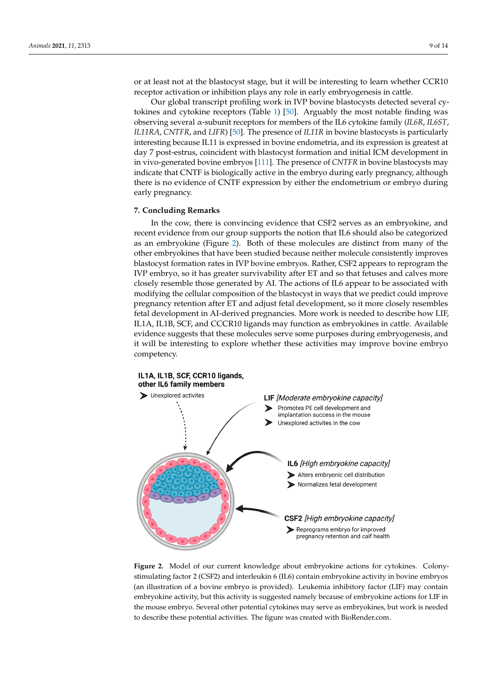or at least not at the blastocyst stage, but it will be interesting to learn whether CCR10 receptor activation or inhibition plays any role in early embryogenesis in cattle.

Our global transcript profiling work in IVP bovine blastocysts detected several cytokines and cytokine receptors (Table [1\)](#page-8-0) [\[50\]](#page-12-7). Arguably the most notable finding was observing several α-subunit receptors for members of the IL6 cytokine family (*IL6R*, *IL6ST*, *IL11RA*, *CNTFR*, and *LIFR*) [\[50\]](#page-12-7). The presence of *IL11R* in bovine blastocysts is particularly interesting because IL11 is expressed in bovine endometria, and its expression is greatest at day 7 post-estrus, coincident with blastocyst formation and initial ICM development in in vivo-generated bovine embryos [\[111\]](#page-14-18). The presence of *CNTFR* in bovine blastocysts may indicate that CNTF is biologically active in the embryo during early pregnancy, although there is no evidence of CNTF expression by either the endometrium or embryo during early pregnancy.

#### **7. Concluding Remarks**

In the cow, there is convincing evidence that CSF2 serves as an embryokine, and recent evidence from our group supports the notion that IL6 should also be categorized as an embryokine (Figure [2\)](#page-9-0). Both of these molecules are distinct from many of the other embryokines that have been studied because neither molecule consistently improves blastocyst formation rates in IVP bovine embryos. Rather, CSF2 appears to reprogram the IVP embryo, so it has greater survivability after ET and so that fetuses and calves more closely resemble those generated by AI. The actions of IL6 appear to be associated with modifying the cellular composition of the blastocyst in ways that we predict could improve pregnancy retention after ET and adjust fetal development, so it more closely resembles fetal development in AI-derived pregnancies. More work is needed to describe how LIF, IL1A, IL1B, SCF, and CCCR10 ligands may function as embryokines in cattle. Available evidence suggests that these molecules serve some purposes during embryogenesis, and it will be interesting to explore whether these activities may improve bovine embryo competency.

<span id="page-9-0"></span>

Figure 2. Model of our current knowledge about embryokine actions for cytokines. Colony- $\frac{1}{2}$  (i.e.  $\frac{1}{2}$ ) contains factor 2 (ILG) contained activity in boxine embryochine embryos (and in boxine embryos (and in boxine embryos (and in boxine embryos (and in boxine embryos (and in boxine embryos (and i stimulating factor 2 (CSF2) and interleukin 6 (IL6) contain embryokine activity in bovine embryos (an illustration of a bovine embryo is provided). Leukemia inhibitory factor (LIF) may contain embryokine activity, but this activity is suggested namely because of embryokine actions for LIF in the mouse embryo. Several other potential cytokines may serve as embryokines, but work is needed to describe these potential activities. The figure was created with BioRender.com.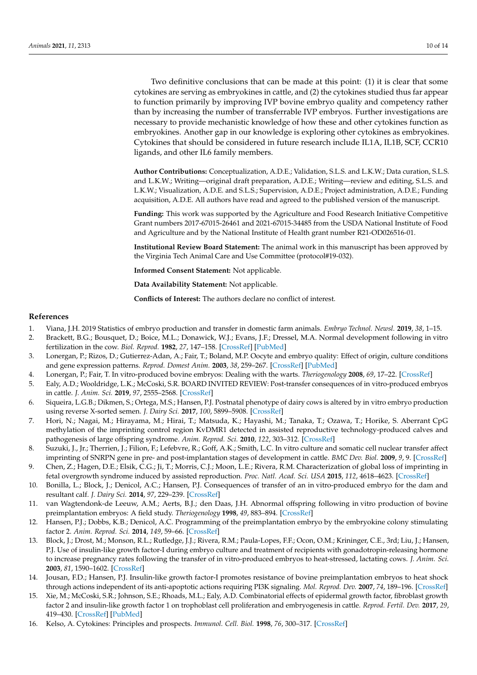Two definitive conclusions that can be made at this point: (1) it is clear that some cytokines are serving as embryokines in cattle, and (2) the cytokines studied thus far appear to function primarily by improving IVP bovine embryo quality and competency rather than by increasing the number of transferrable IVP embryos. Further investigations are necessary to provide mechanistic knowledge of how these and other cytokines function as embryokines. Another gap in our knowledge is exploring other cytokines as embryokines. Cytokines that should be considered in future research include IL1A, IL1B, SCF, CCR10 ligands, and other IL6 family members.

**Author Contributions:** Conceptualization, A.D.E.; Validation, S.L.S. and L.K.W.; Data curation, S.L.S. and L.K.W.; Writing—original draft preparation, A.D.E.; Writing—review and editing, S.L.S. and L.K.W.; Visualization, A.D.E. and S.L.S.; Supervision, A.D.E.; Project administration, A.D.E.; Funding acquisition, A.D.E. All authors have read and agreed to the published version of the manuscript.

**Funding:** This work was supported by the Agriculture and Food Research Initiative Competitive Grant numbers 2017-67015-26461 and 2021-67015-34485 from the USDA National Institute of Food and Agriculture and by the National Institute of Health grant number R21-OD026516-01.

**Institutional Review Board Statement:** The animal work in this manuscript has been approved by the Virginia Tech Animal Care and Use Committee (protocol#19-032).

**Informed Consent Statement:** Not applicable.

**Data Availability Statement:** Not applicable.

**Conflicts of Interest:** The authors declare no conflict of interest.

#### **References**

- <span id="page-10-0"></span>1. Viana, J.H. 2019 Statistics of embryo production and transfer in domestic farm animals. *Embryo Technol. Newsl.* **2019**, *38*, 1–15.
- <span id="page-10-1"></span>2. Brackett, B.G.; Bousquet, D.; Boice, M.L.; Donawick, W.J.; Evans, J.F.; Dressel, M.A. Normal development following in vitro fertilization in the cow. *Biol. Reprod.* **1982**, *27*, 147–158. [\[CrossRef\]](http://doi.org/10.1095/biolreprod27.1.147) [\[PubMed\]](http://www.ncbi.nlm.nih.gov/pubmed/6896830)
- <span id="page-10-2"></span>3. Lonergan, P.; Rizos, D.; Gutierrez-Adan, A.; Fair, T.; Boland, M.P. Oocyte and embryo quality: Effect of origin, culture conditions and gene expression patterns. *Reprod. Domest Anim.* **2003**, *38*, 259–267. [\[CrossRef\]](http://doi.org/10.1046/j.1439-0531.2003.00437.x) [\[PubMed\]](http://www.ncbi.nlm.nih.gov/pubmed/12887565)
- <span id="page-10-3"></span>4. Lonergan, P.; Fair, T. In vitro-produced bovine embryos: Dealing with the warts. *Theriogenology* **2008**, *69*, 17–22. [\[CrossRef\]](http://doi.org/10.1016/j.theriogenology.2007.09.007)
- <span id="page-10-4"></span>5. Ealy, A.D.; Wooldridge, L.K.; McCoski, S.R. BOARD INVITED REVIEW: Post-transfer consequences of in vitro-produced embryos in cattle. *J. Anim. Sci.* **2019**, *97*, 2555–2568. [\[CrossRef\]](http://doi.org/10.1093/jas/skz116)
- <span id="page-10-5"></span>6. Siqueira, L.G.B.; Dikmen, S.; Ortega, M.S.; Hansen, P.J. Postnatal phenotype of dairy cows is altered by in vitro embryo production using reverse X-sorted semen. *J. Dairy Sci.* **2017**, *100*, 5899–5908. [\[CrossRef\]](http://doi.org/10.3168/jds.2016-12539)
- 7. Hori, N.; Nagai, M.; Hirayama, M.; Hirai, T.; Matsuda, K.; Hayashi, M.; Tanaka, T.; Ozawa, T.; Horike, S. Aberrant CpG methylation of the imprinting control region KvDMR1 detected in assisted reproductive technology-produced calves and pathogenesis of large offspring syndrome. *Anim. Reprod. Sci.* **2010**, *122*, 303–312. [\[CrossRef\]](http://doi.org/10.1016/j.anireprosci.2010.09.008)
- 8. Suzuki, J., Jr.; Therrien, J.; Filion, F.; Lefebvre, R.; Goff, A.K.; Smith, L.C. In vitro culture and somatic cell nuclear transfer affect imprinting of SNRPN gene in pre- and post-implantation stages of development in cattle. *BMC Dev. Biol.* **2009**, *9*, 9. [\[CrossRef\]](http://doi.org/10.1186/1471-213X-9-9)
- <span id="page-10-6"></span>9. Chen, Z.; Hagen, D.E.; Elsik, C.G.; Ji, T.; Morris, C.J.; Moon, L.E.; Rivera, R.M. Characterization of global loss of imprinting in fetal overgrowth syndrome induced by assisted reproduction. *Proc. Natl. Acad. Sci. USA* **2015**, *112*, 4618–4623. [\[CrossRef\]](http://doi.org/10.1073/pnas.1422088112)
- <span id="page-10-7"></span>10. Bonilla, L.; Block, J.; Denicol, A.C.; Hansen, P.J. Consequences of transfer of an in vitro-produced embryo for the dam and resultant calf. *J. Dairy Sci.* **2014**, *97*, 229–239. [\[CrossRef\]](http://doi.org/10.3168/jds.2013-6943)
- <span id="page-10-8"></span>11. van Wagtendonk-de Leeuw, A.M.; Aerts, B.J.; den Daas, J.H. Abnormal offspring following in vitro production of bovine preimplantation embryos: A field study. *Theriogenology* **1998**, *49*, 883–894. [\[CrossRef\]](http://doi.org/10.1016/S0093-691X(98)00038-7)
- <span id="page-10-9"></span>12. Hansen, P.J.; Dobbs, K.B.; Denicol, A.C. Programming of the preimplantation embryo by the embryokine colony stimulating factor 2. *Anim. Reprod. Sci.* **2014**, *149*, 59–66. [\[CrossRef\]](http://doi.org/10.1016/j.anireprosci.2014.05.017)
- <span id="page-10-10"></span>13. Block, J.; Drost, M.; Monson, R.L.; Rutledge, J.J.; Rivera, R.M.; Paula-Lopes, F.F.; Ocon, O.M.; Krininger, C.E., 3rd; Liu, J.; Hansen, P.J. Use of insulin-like growth factor-I during embryo culture and treatment of recipients with gonadotropin-releasing hormone to increase pregnancy rates following the transfer of in vitro-produced embryos to heat-stressed, lactating cows. *J. Anim. Sci.* **2003**, *81*, 1590–1602. [\[CrossRef\]](http://doi.org/10.2527/2003.8161590x)
- 14. Jousan, F.D.; Hansen, P.J. Insulin-like growth factor-I promotes resistance of bovine preimplantation embryos to heat shock through actions independent of its anti-apoptotic actions requiring PI3K signaling. *Mol. Reprod. Dev.* **2007**, *74*, 189–196. [\[CrossRef\]](http://doi.org/10.1002/mrd.20527)
- <span id="page-10-11"></span>15. Xie, M.; McCoski, S.R.; Johnson, S.E.; Rhoads, M.L.; Ealy, A.D. Combinatorial effects of epidermal growth factor, fibroblast growth factor 2 and insulin-like growth factor 1 on trophoblast cell proliferation and embryogenesis in cattle. *Reprod. Fertil. Dev.* **2017**, *29*, 419–430. [\[CrossRef\]](http://doi.org/10.1071/RD15226) [\[PubMed\]](http://www.ncbi.nlm.nih.gov/pubmed/26304178)
- <span id="page-10-12"></span>16. Kelso, A. Cytokines: Principles and prospects. *Immunol. Cell. Biol.* **1998**, *76*, 300–317. [\[CrossRef\]](http://doi.org/10.1046/j.1440-1711.1998.00757.x)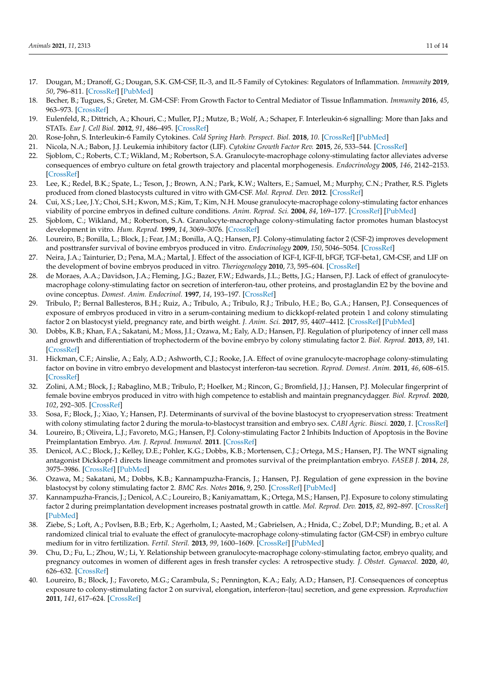- <span id="page-11-0"></span>17. Dougan, M.; Dranoff, G.; Dougan, S.K. GM-CSF, IL-3, and IL-5 Family of Cytokines: Regulators of Inflammation. *Immunity* **2019**, *50*, 796–811. [\[CrossRef\]](http://doi.org/10.1016/j.immuni.2019.03.022) [\[PubMed\]](http://www.ncbi.nlm.nih.gov/pubmed/30995500)
- <span id="page-11-1"></span>18. Becher, B.; Tugues, S.; Greter, M. GM-CSF: From Growth Factor to Central Mediator of Tissue Inflammation. *Immunity* **2016**, *45*, 963–973. [\[CrossRef\]](http://doi.org/10.1016/j.immuni.2016.10.026)
- <span id="page-11-2"></span>19. Eulenfeld, R.; Dittrich, A.; Khouri, C.; Muller, P.J.; Mutze, B.; Wolf, A.; Schaper, F. Interleukin-6 signalling: More than Jaks and STATs. *Eur J. Cell Biol.* **2012**, *91*, 486–495. [\[CrossRef\]](http://doi.org/10.1016/j.ejcb.2011.09.010)
- <span id="page-11-3"></span>20. Rose-John, S. Interleukin-6 Family Cytokines. *Cold Spring Harb. Perspect. Biol.* **2018**, *10*. [\[CrossRef\]](http://doi.org/10.1101/cshperspect.a028415) [\[PubMed\]](http://www.ncbi.nlm.nih.gov/pubmed/28620096)
- <span id="page-11-4"></span>21. Nicola, N.A.; Babon, J.J. Leukemia inhibitory factor (LIF). *Cytokine Growth Factor Rev.* **2015**, *26*, 533–544. [\[CrossRef\]](http://doi.org/10.1016/j.cytogfr.2015.07.001)
- <span id="page-11-5"></span>22. Sjoblom, C.; Roberts, C.T.; Wikland, M.; Robertson, S.A. Granulocyte-macrophage colony-stimulating factor alleviates adverse consequences of embryo culture on fetal growth trajectory and placental morphogenesis. *Endocrinology* **2005**, *146*, 2142–2153. [\[CrossRef\]](http://doi.org/10.1210/en.2004-1260)
- <span id="page-11-6"></span>23. Lee, K.; Redel, B.K.; Spate, L.; Teson, J.; Brown, A.N.; Park, K.W.; Walters, E.; Samuel, M.; Murphy, C.N.; Prather, R.S. Piglets produced from cloned blastocysts cultured in vitro with GM-CSF. *Mol. Reprod. Dev.* **2012**. [\[CrossRef\]](http://doi.org/10.1002/mrd.22143)
- <span id="page-11-7"></span>24. Cui, X.S.; Lee, J.Y.; Choi, S.H.; Kwon, M.S.; Kim, T.; Kim, N.H. Mouse granulocyte-macrophage colony-stimulating factor enhances viability of porcine embryos in defined culture conditions. *Anim. Reprod. Sci.* **2004**, *84*, 169–177. [\[CrossRef\]](http://doi.org/10.1016/j.anireprosci.2003.11.005) [\[PubMed\]](http://www.ncbi.nlm.nih.gov/pubmed/15302396)
- <span id="page-11-8"></span>25. Sjoblom, C.; Wikland, M.; Robertson, S.A. Granulocyte-macrophage colony-stimulating factor promotes human blastocyst development in vitro. *Hum. Reprod.* **1999**, *14*, 3069–3076. [\[CrossRef\]](http://doi.org/10.1093/humrep/14.12.3069)
- <span id="page-11-9"></span>26. Loureiro, B.; Bonilla, L.; Block, J.; Fear, J.M.; Bonilla, A.Q.; Hansen, P.J. Colony-stimulating factor 2 (CSF-2) improves development and posttransfer survival of bovine embryos produced in vitro. *Endocrinology* **2009**, *150*, 5046–5054. [\[CrossRef\]](http://doi.org/10.1210/en.2009-0481)
- <span id="page-11-23"></span>27. Neira, J.A.; Tainturier, D.; Pena, M.A.; Martal, J. Effect of the association of IGF-I, IGF-II, bFGF, TGF-beta1, GM-CSF, and LIF on the development of bovine embryos produced in vitro. *Theriogenology* **2010**, *73*, 595–604. [\[CrossRef\]](http://doi.org/10.1016/j.theriogenology.2009.10.015)
- <span id="page-11-10"></span>28. de Moraes, A.A.; Davidson, J.A.; Fleming, J.G.; Bazer, F.W.; Edwards, J.L.; Betts, J.G.; Hansen, P.J. Lack of effect of granulocytemacrophage colony-stimulating factor on secretion of interferon-tau, other proteins, and prostaglandin E2 by the bovine and ovine conceptus. *Domest. Anim. Endocrinol.* **1997**, *14*, 193–197. [\[CrossRef\]](http://doi.org/10.1016/S0739-7240(97)00002-7)
- <span id="page-11-11"></span>29. Tribulo, P.; Bernal Ballesteros, B.H.; Ruiz, A.; Tribulo, A.; Tribulo, R.J.; Tribulo, H.E.; Bo, G.A.; Hansen, P.J. Consequences of exposure of embryos produced in vitro in a serum-containing medium to dickkopf-related protein 1 and colony stimulating factor 2 on blastocyst yield, pregnancy rate, and birth weight. *J. Anim. Sci.* **2017**, *95*, 4407–4412. [\[CrossRef\]](http://doi.org/10.2527/jas2017.1927) [\[PubMed\]](http://www.ncbi.nlm.nih.gov/pubmed/29108044)
- <span id="page-11-16"></span>30. Dobbs, K.B.; Khan, F.A.; Sakatani, M.; Moss, J.I.; Ozawa, M.; Ealy, A.D.; Hansen, P.J. Regulation of pluripotency of inner cell mass and growth and differentiation of trophectoderm of the bovine embryo by colony stimulating factor 2. *Biol. Reprod.* **2013**, *89*, 141. [\[CrossRef\]](http://doi.org/10.1095/biolreprod.113.113183)
- <span id="page-11-22"></span>31. Hickman, C.F.; Ainslie, A.; Ealy, A.D.; Ashworth, C.J.; Rooke, J.A. Effect of ovine granulocyte-macrophage colony-stimulating factor on bovine in vitro embryo development and blastocyst interferon-tau secretion. *Reprod. Domest. Anim.* **2011**, *46*, 608–615. [\[CrossRef\]](http://doi.org/10.1111/j.1439-0531.2010.01710.x)
- <span id="page-11-12"></span>32. Zolini, A.M.; Block, J.; Rabaglino, M.B.; Tribulo, P.; Hoelker, M.; Rincon, G.; Bromfield, J.J.; Hansen, P.J. Molecular fingerprint of female bovine embryos produced in vitro with high competence to establish and maintain pregnancydagger. *Biol. Reprod.* **2020**, *102*, 292–305. [\[CrossRef\]](http://doi.org/10.1093/biolre/ioz190)
- <span id="page-11-13"></span>33. Sosa, F.; Block, J.; Xiao, Y.; Hansen, P.J. Determinants of survival of the bovine blastocyst to cryopreservation stress: Treatment with colony stimulating factor 2 during the morula-to-blastocyst transition and embryo sex. *CABI Agric. Biosci.* **2020**, *1*. [\[CrossRef\]](http://doi.org/10.1186/s43170-020-00012-9)
- <span id="page-11-14"></span>34. Loureiro, B.; Oliveira, L.J.; Favoreto, M.G.; Hansen, P.J. Colony-stimulating Factor 2 Inhibits Induction of Apoptosis in the Bovine Preimplantation Embryo. *Am. J. Reprod. Immunol.* **2011**. [\[CrossRef\]](http://doi.org/10.1111/j.1600-0897.2010.00953.x)
- <span id="page-11-15"></span>35. Denicol, A.C.; Block, J.; Kelley, D.E.; Pohler, K.G.; Dobbs, K.B.; Mortensen, C.J.; Ortega, M.S.; Hansen, P.J. The WNT signaling antagonist Dickkopf-1 directs lineage commitment and promotes survival of the preimplantation embryo. *FASEB J.* **2014**, *28*, 3975–3986. [\[CrossRef\]](http://doi.org/10.1096/fj.14-253112) [\[PubMed\]](http://www.ncbi.nlm.nih.gov/pubmed/24858280)
- <span id="page-11-17"></span>36. Ozawa, M.; Sakatani, M.; Dobbs, K.B.; Kannampuzha-Francis, J.; Hansen, P.J. Regulation of gene expression in the bovine blastocyst by colony stimulating factor 2. *BMC Res. Notes* **2016**, *9*, 250. [\[CrossRef\]](http://doi.org/10.1186/s13104-016-2038-y) [\[PubMed\]](http://www.ncbi.nlm.nih.gov/pubmed/27130208)
- <span id="page-11-18"></span>37. Kannampuzha-Francis, J.; Denicol, A.C.; Loureiro, B.; Kaniyamattam, K.; Ortega, M.S.; Hansen, P.J. Exposure to colony stimulating factor 2 during preimplantation development increases postnatal growth in cattle. *Mol. Reprod. Dev.* **2015**, *82*, 892–897. [\[CrossRef\]](http://doi.org/10.1002/mrd.22533) [\[PubMed\]](http://www.ncbi.nlm.nih.gov/pubmed/26227079)
- <span id="page-11-19"></span>38. Ziebe, S.; Loft, A.; Povlsen, B.B.; Erb, K.; Agerholm, I.; Aasted, M.; Gabrielsen, A.; Hnida, C.; Zobel, D.P.; Munding, B.; et al. A randomized clinical trial to evaluate the effect of granulocyte-macrophage colony-stimulating factor (GM-CSF) in embryo culture medium for in vitro fertilization. *Fertil. Steril.* **2013**, *99*, 1600–1609. [\[CrossRef\]](http://doi.org/10.1016/j.fertnstert.2012.12.043) [\[PubMed\]](http://www.ncbi.nlm.nih.gov/pubmed/23380186)
- <span id="page-11-20"></span>39. Chu, D.; Fu, L.; Zhou, W.; Li, Y. Relationship between granulocyte-macrophage colony-stimulating factor, embryo quality, and pregnancy outcomes in women of different ages in fresh transfer cycles: A retrospective study. *J. Obstet. Gynaecol.* **2020**, *40*, 626–632. [\[CrossRef\]](http://doi.org/10.1080/01443615.2019.1639040)
- <span id="page-11-21"></span>40. Loureiro, B.; Block, J.; Favoreto, M.G.; Carambula, S.; Pennington, K.A.; Ealy, A.D.; Hansen, P.J. Consequences of conceptus exposure to colony-stimulating factor 2 on survival, elongation, interferon-{tau} secretion, and gene expression. *Reproduction* **2011**, *141*, 617–624. [\[CrossRef\]](http://doi.org/10.1530/REP-10-0511)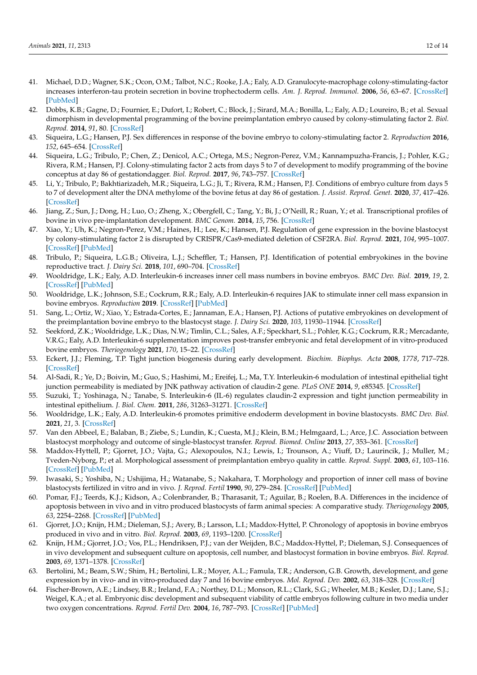- 41. Michael, D.D.; Wagner, S.K.; Ocon, O.M.; Talbot, N.C.; Rooke, J.A.; Ealy, A.D. Granulocyte-macrophage colony-stimulating-factor increases interferon-tau protein secretion in bovine trophectoderm cells. *Am. J. Reprod. Immunol.* **2006**, *56*, 63–67. [\[CrossRef\]](http://doi.org/10.1111/j.1600-0897.2006.00390.x) [\[PubMed\]](http://www.ncbi.nlm.nih.gov/pubmed/16792532)
- <span id="page-12-0"></span>42. Dobbs, K.B.; Gagne, D.; Fournier, E.; Dufort, I.; Robert, C.; Block, J.; Sirard, M.A.; Bonilla, L.; Ealy, A.D.; Loureiro, B.; et al. Sexual dimorphism in developmental programming of the bovine preimplantation embryo caused by colony-stimulating factor 2. *Biol. Reprod.* **2014**, *91*, 80. [\[CrossRef\]](http://doi.org/10.1095/biolreprod.114.121087)
- <span id="page-12-1"></span>43. Siqueira, L.G.; Hansen, P.J. Sex differences in response of the bovine embryo to colony-stimulating factor 2. *Reproduction* **2016**, *152*, 645–654. [\[CrossRef\]](http://doi.org/10.1530/REP-16-0336)
- <span id="page-12-2"></span>44. Siqueira, L.G.; Tribulo, P.; Chen, Z.; Denicol, A.C.; Ortega, M.S.; Negron-Perez, V.M.; Kannampuzha-Francis, J.; Pohler, K.G.; Rivera, R.M.; Hansen, P.J. Colony-stimulating factor 2 acts from days 5 to 7 of development to modify programming of the bovine conceptus at day 86 of gestationdagger. *Biol. Reprod.* **2017**, *96*, 743–757. [\[CrossRef\]](http://doi.org/10.1093/biolre/iox018)
- <span id="page-12-3"></span>45. Li, Y.; Tribulo, P.; Bakhtiarizadeh, M.R.; Siqueira, L.G.; Ji, T.; Rivera, R.M.; Hansen, P.J. Conditions of embryo culture from days 5 to 7 of development alter the DNA methylome of the bovine fetus at day 86 of gestation. *J. Assist. Reprod. Genet.* **2020**, *37*, 417–426. [\[CrossRef\]](http://doi.org/10.1007/s10815-019-01652-1)
- <span id="page-12-4"></span>46. Jiang, Z.; Sun, J.; Dong, H.; Luo, O.; Zheng, X.; Obergfell, C.; Tang, Y.; Bi, J.; O'Neill, R.; Ruan, Y.; et al. Transcriptional profiles of bovine in vivo pre-implantation development. *BMC Genom.* **2014**, *15*, 756. [\[CrossRef\]](http://doi.org/10.1186/1471-2164-15-756)
- <span id="page-12-5"></span>47. Xiao, Y.; Uh, K.; Negron-Perez, V.M.; Haines, H.; Lee, K.; Hansen, P.J. Regulation of gene expression in the bovine blastocyst by colony-stimulating factor 2 is disrupted by CRISPR/Cas9-mediated deletion of CSF2RA. *Biol. Reprod.* **2021**, *104*, 995–1007. [\[CrossRef\]](http://doi.org/10.1093/biolre/ioab015) [\[PubMed\]](http://www.ncbi.nlm.nih.gov/pubmed/33524138)
- <span id="page-12-6"></span>48. Tribulo, P.; Siqueira, L.G.B.; Oliveira, L.J.; Scheffler, T.; Hansen, P.J. Identification of potential embryokines in the bovine reproductive tract. *J. Dairy Sci.* **2018**, *101*, 690–704. [\[CrossRef\]](http://doi.org/10.3168/jds.2017-13221)
- <span id="page-12-8"></span>49. Wooldridge, L.K.; Ealy, A.D. Interleukin-6 increases inner cell mass numbers in bovine embryos. *BMC Dev. Biol.* **2019**, *19*, 2. [\[CrossRef\]](http://doi.org/10.1186/s12861-019-0182-z) [\[PubMed\]](http://www.ncbi.nlm.nih.gov/pubmed/30709330)
- <span id="page-12-7"></span>50. Wooldridge, L.K.; Johnson, S.E.; Cockrum, R.R.; Ealy, A.D. Interleukin-6 requires JAK to stimulate inner cell mass expansion in bovine embryos. *Reproduction* **2019**. [\[CrossRef\]](http://doi.org/10.1530/REP-19-0286) [\[PubMed\]](http://www.ncbi.nlm.nih.gov/pubmed/31408846)
- <span id="page-12-10"></span>51. Sang, L.; Ortiz, W.; Xiao, Y.; Estrada-Cortes, E.; Jannaman, E.A.; Hansen, P.J. Actions of putative embryokines on development of the preimplantation bovine embryo to the blastocyst stage. *J. Dairy Sci.* **2020**, *103*, 11930–11944. [\[CrossRef\]](http://doi.org/10.3168/jds.2020-19068)
- <span id="page-12-9"></span>52. Seekford, Z.K.; Wooldridge, L.K.; Dias, N.W.; Timlin, C.L.; Sales, A.F.; Speckhart, S.L.; Pohler, K.G.; Cockrum, R.R.; Mercadante, V.R.G.; Ealy, A.D. Interleukin-6 supplementation improves post-transfer embryonic and fetal development of in vitro-produced bovine embryos. *Theriogenology* **2021**, *170*, 15–22. [\[CrossRef\]](http://doi.org/10.1016/j.theriogenology.2021.04.004)
- <span id="page-12-12"></span>53. Eckert, J.J.; Fleming, T.P. Tight junction biogenesis during early development. *Biochim. Biophys. Acta* **2008**, *1778*, 717–728. [\[CrossRef\]](http://doi.org/10.1016/j.bbamem.2007.09.031)
- <span id="page-12-11"></span>54. Al-Sadi, R.; Ye, D.; Boivin, M.; Guo, S.; Hashimi, M.; Ereifej, L.; Ma, T.Y. Interleukin-6 modulation of intestinal epithelial tight junction permeability is mediated by JNK pathway activation of claudin-2 gene. *PLoS ONE* **2014**, *9*, e85345. [\[CrossRef\]](http://doi.org/10.1371/journal.pone.0085345)
- <span id="page-12-13"></span>55. Suzuki, T.; Yoshinaga, N.; Tanabe, S. Interleukin-6 (IL-6) regulates claudin-2 expression and tight junction permeability in intestinal epithelium. *J. Biol. Chem.* **2011**, *286*, 31263–31271. [\[CrossRef\]](http://doi.org/10.1074/jbc.M111.238147)
- <span id="page-12-14"></span>56. Wooldridge, L.K.; Ealy, A.D. Interleukin-6 promotes primitive endoderm development in bovine blastocysts. *BMC Dev. Biol.* **2021**, *21*, 3. [\[CrossRef\]](http://doi.org/10.1186/s12861-020-00235-z)
- <span id="page-12-15"></span>57. Van den Abbeel, E.; Balaban, B.; Ziebe, S.; Lundin, K.; Cuesta, M.J.; Klein, B.M.; Helmgaard, L.; Arce, J.C. Association between blastocyst morphology and outcome of single-blastocyst transfer. *Reprod. Biomed. Online* **2013**, *27*, 353–361. [\[CrossRef\]](http://doi.org/10.1016/j.rbmo.2013.07.006)
- <span id="page-12-16"></span>58. Maddox-Hyttell, P.; Gjorret, J.O.; Vajta, G.; Alexopoulos, N.I.; Lewis, I.; Trounson, A.; Viuff, D.; Laurincik, J.; Muller, M.; Tveden-Nyborg, P.; et al. Morphological assessment of preimplantation embryo quality in cattle. *Reprod. Suppl.* **2003**, *61*, 103–116. [\[CrossRef\]](http://doi.org/10.1530/biosciprocs.5.009) [\[PubMed\]](http://www.ncbi.nlm.nih.gov/pubmed/14635930)
- <span id="page-12-17"></span>59. Iwasaki, S.; Yoshiba, N.; Ushijima, H.; Watanabe, S.; Nakahara, T. Morphology and proportion of inner cell mass of bovine blastocysts fertilized in vitro and in vivo. *J. Reprod. Fertil* **1990**, *90*, 279–284. [\[CrossRef\]](http://doi.org/10.1530/jrf.0.0900279) [\[PubMed\]](http://www.ncbi.nlm.nih.gov/pubmed/2231548)
- 60. Pomar, F.J.; Teerds, K.J.; Kidson, A.; Colenbrander, B.; Tharasanit, T.; Aguilar, B.; Roelen, B.A. Differences in the incidence of apoptosis between in vivo and in vitro produced blastocysts of farm animal species: A comparative study. *Theriogenology* **2005**, *63*, 2254–2268. [\[CrossRef\]](http://doi.org/10.1016/j.theriogenology.2004.10.015) [\[PubMed\]](http://www.ncbi.nlm.nih.gov/pubmed/15826688)
- 61. Gjorret, J.O.; Knijn, H.M.; Dieleman, S.J.; Avery, B.; Larsson, L.I.; Maddox-Hyttel, P. Chronology of apoptosis in bovine embryos produced in vivo and in vitro. *Biol. Reprod.* **2003**, *69*, 1193–1200. [\[CrossRef\]](http://doi.org/10.1095/biolreprod.102.013243)
- <span id="page-12-18"></span>62. Knijn, H.M.; Gjorret, J.O.; Vos, P.L.; Hendriksen, P.J.; van der Weijden, B.C.; Maddox-Hyttel, P.; Dieleman, S.J. Consequences of in vivo development and subsequent culture on apoptosis, cell number, and blastocyst formation in bovine embryos. *Biol. Reprod.* **2003**, *69*, 1371–1378. [\[CrossRef\]](http://doi.org/10.1095/biolreprod.103.017251)
- <span id="page-12-19"></span>63. Bertolini, M.; Beam, S.W.; Shim, H.; Bertolini, L.R.; Moyer, A.L.; Famula, T.R.; Anderson, G.B. Growth, development, and gene expression by in vivo- and in vitro-produced day 7 and 16 bovine embryos. *Mol. Reprod. Dev.* **2002**, *63*, 318–328. [\[CrossRef\]](http://doi.org/10.1002/mrd.90015)
- <span id="page-12-20"></span>64. Fischer-Brown, A.E.; Lindsey, B.R.; Ireland, F.A.; Northey, D.L.; Monson, R.L.; Clark, S.G.; Wheeler, M.B.; Kesler, D.J.; Lane, S.J.; Weigel, K.A.; et al. Embryonic disc development and subsequent viability of cattle embryos following culture in two media under two oxygen concentrations. *Reprod. Fertil Dev.* **2004**, *16*, 787–793. [\[CrossRef\]](http://doi.org/10.1071/RD04026) [\[PubMed\]](http://www.ncbi.nlm.nih.gov/pubmed/15740702)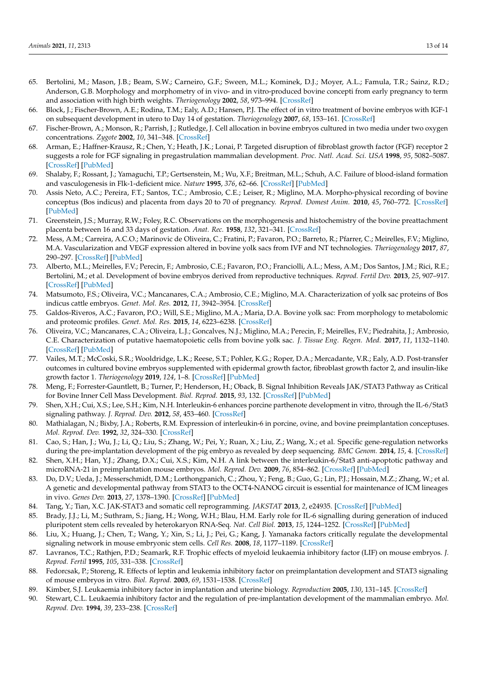- 65. Bertolini, M.; Mason, J.B.; Beam, S.W.; Carneiro, G.F.; Sween, M.L.; Kominek, D.J.; Moyer, A.L.; Famula, T.R.; Sainz, R.D.; Anderson, G.B. Morphology and morphometry of in vivo- and in vitro-produced bovine concepti from early pregnancy to term and association with high birth weights. *Theriogenology* **2002**, *58*, 973–994. [\[CrossRef\]](http://doi.org/10.1016/S0093-691X(02)00935-4)
- 66. Block, J.; Fischer-Brown, A.E.; Rodina, T.M.; Ealy, A.D.; Hansen, P.J. The effect of in vitro treatment of bovine embryos with IGF-1 on subsequent development in utero to Day 14 of gestation. *Theriogenology* **2007**, *68*, 153–161. [\[CrossRef\]](http://doi.org/10.1016/j.theriogenology.2007.04.045)
- <span id="page-13-0"></span>67. Fischer-Brown, A.; Monson, R.; Parrish, J.; Rutledge, J. Cell allocation in bovine embryos cultured in two media under two oxygen concentrations. *Zygote* **2002**, *10*, 341–348. [\[CrossRef\]](http://doi.org/10.1017/S0967199402004082)
- <span id="page-13-1"></span>68. Arman, E.; Haffner-Krausz, R.; Chen, Y.; Heath, J.K.; Lonai, P. Targeted disruption of fibroblast growth factor (FGF) receptor 2 suggests a role for FGF signaling in pregastrulation mammalian development. *Proc. Natl. Acad. Sci. USA* **1998**, *95*, 5082–5087. [\[CrossRef\]](http://doi.org/10.1073/pnas.95.9.5082) [\[PubMed\]](http://www.ncbi.nlm.nih.gov/pubmed/9560232)
- <span id="page-13-2"></span>69. Shalaby, F.; Rossant, J.; Yamaguchi, T.P.; Gertsenstein, M.; Wu, X.F.; Breitman, M.L.; Schuh, A.C. Failure of blood-island formation and vasculogenesis in Flk-1-deficient mice. *Nature* **1995**, *376*, 62–66. [\[CrossRef\]](http://doi.org/10.1038/376062a0) [\[PubMed\]](http://www.ncbi.nlm.nih.gov/pubmed/7596435)
- <span id="page-13-3"></span>70. Assis Neto, A.C.; Pereira, F.T.; Santos, T.C.; Ambrosio, C.E.; Leiser, R.; Miglino, M.A. Morpho-physical recording of bovine conceptus (Bos indicus) and placenta from days 20 to 70 of pregnancy. *Reprod. Domest Anim.* **2010**, *45*, 760–772. [\[CrossRef\]](http://doi.org/10.1111/j.1439-0531.2009.01345.x) [\[PubMed\]](http://www.ncbi.nlm.nih.gov/pubmed/19281595)
- <span id="page-13-4"></span>71. Greenstein, J.S.; Murray, R.W.; Foley, R.C. Observations on the morphogenesis and histochemistry of the bovine preattachment placenta between 16 and 33 days of gestation. *Anat. Rec.* **1958**, *132*, 321–341. [\[CrossRef\]](http://doi.org/10.1002/ar.1091320308)
- <span id="page-13-5"></span>72. Mess, A.M.; Carreira, A.C.O.; Marinovic de Oliveira, C.; Fratini, P.; Favaron, P.O.; Barreto, R.; Pfarrer, C.; Meirelles, F.V.; Miglino, M.A. Vascularization and VEGF expression altered in bovine yolk sacs from IVF and NT technologies. *Theriogenology* **2017**, *87*, 290–297. [\[CrossRef\]](http://doi.org/10.1016/j.theriogenology.2016.09.012) [\[PubMed\]](http://www.ncbi.nlm.nih.gov/pubmed/27729111)
- <span id="page-13-6"></span>73. Alberto, M.L.; Meirelles, F.V.; Perecin, F.; Ambrosio, C.E.; Favaron, P.O.; Franciolli, A.L.; Mess, A.M.; Dos Santos, J.M.; Rici, R.E.; Bertolini, M.; et al. Development of bovine embryos derived from reproductive techniques. *Reprod. Fertil Dev.* **2013**, *25*, 907–917. [\[CrossRef\]](http://doi.org/10.1071/RD12092) [\[PubMed\]](http://www.ncbi.nlm.nih.gov/pubmed/22953743)
- 74. Matsumoto, F.S.; Oliveira, V.C.; Mancanares, C.A.; Ambrosio, C.E.; Miglino, M.A. Characterization of yolk sac proteins of Bos indicus cattle embryos. *Genet. Mol. Res.* **2012**, *11*, 3942–3954. [\[CrossRef\]](http://doi.org/10.4238/2012.November.14.1)
- 75. Galdos-Riveros, A.C.; Favaron, P.O.; Will, S.E.; Miglino, M.A.; Maria, D.A. Bovine yolk sac: From morphology to metabolomic and proteomic profiles. *Genet. Mol. Res.* **2015**, *14*, 6223–6238. [\[CrossRef\]](http://doi.org/10.4238/2015.June.9.8)
- <span id="page-13-7"></span>76. Oliveira, V.C.; Mancanares, C.A.; Oliveira, L.J.; Goncalves, N.J.; Miglino, M.A.; Perecin, F.; Meirelles, F.V.; Piedrahita, J.; Ambrosio, C.E. Characterization of putative haematopoietic cells from bovine yolk sac. *J. Tissue Eng. Regen. Med.* **2017**, *11*, 1132–1140. [\[CrossRef\]](http://doi.org/10.1002/term.2016) [\[PubMed\]](http://www.ncbi.nlm.nih.gov/pubmed/25712733)
- <span id="page-13-8"></span>77. Vailes, M.T.; McCoski, S.R.; Wooldridge, L.K.; Reese, S.T.; Pohler, K.G.; Roper, D.A.; Mercadante, V.R.; Ealy, A.D. Post-transfer outcomes in cultured bovine embryos supplemented with epidermal growth factor, fibroblast growth factor 2, and insulin-like growth factor 1. *Theriogenology* **2019**, *124*, 1–8. [\[CrossRef\]](http://doi.org/10.1016/j.theriogenology.2018.09.023) [\[PubMed\]](http://www.ncbi.nlm.nih.gov/pubmed/30317067)
- <span id="page-13-9"></span>78. Meng, F.; Forrester-Gauntlett, B.; Turner, P.; Henderson, H.; Oback, B. Signal Inhibition Reveals JAK/STAT3 Pathway as Critical for Bovine Inner Cell Mass Development. *Biol. Reprod.* **2015**, *93*, 132. [\[CrossRef\]](http://doi.org/10.1095/biolreprod.115.134254) [\[PubMed\]](http://www.ncbi.nlm.nih.gov/pubmed/26510863)
- <span id="page-13-10"></span>79. Shen, X.H.; Cui, X.S.; Lee, S.H.; Kim, N.H. Interleukin-6 enhances porcine parthenote development in vitro, through the IL-6/Stat3 signaling pathway. *J. Reprod. Dev.* **2012**, *58*, 453–460. [\[CrossRef\]](http://doi.org/10.1262/jrd.2012-015)
- <span id="page-13-11"></span>80. Mathialagan, N.; Bixby, J.A.; Roberts, R.M. Expression of interleukin-6 in porcine, ovine, and bovine preimplantation conceptuses. *Mol. Reprod. Dev.* **1992**, *32*, 324–330. [\[CrossRef\]](http://doi.org/10.1002/mrd.1080320404)
- <span id="page-13-12"></span>81. Cao, S.; Han, J.; Wu, J.; Li, Q.; Liu, S.; Zhang, W.; Pei, Y.; Ruan, X.; Liu, Z.; Wang, X.; et al. Specific gene-regulation networks during the pre-implantation development of the pig embryo as revealed by deep sequencing. *BMC Genom.* **2014**, *15*, 4. [\[CrossRef\]](http://doi.org/10.1186/1471-2164-15-4)
- <span id="page-13-13"></span>82. Shen, X.H.; Han, Y.J.; Zhang, D.X.; Cui, X.S.; Kim, N.H. A link between the interleukin-6/Stat3 anti-apoptotic pathway and microRNA-21 in preimplantation mouse embryos. *Mol. Reprod. Dev.* **2009**, *76*, 854–862. [\[CrossRef\]](http://doi.org/10.1002/mrd.21048) [\[PubMed\]](http://www.ncbi.nlm.nih.gov/pubmed/19437447)
- <span id="page-13-14"></span>83. Do, D.V.; Ueda, J.; Messerschmidt, D.M.; Lorthongpanich, C.; Zhou, Y.; Feng, B.; Guo, G.; Lin, P.J.; Hossain, M.Z.; Zhang, W.; et al. A genetic and developmental pathway from STAT3 to the OCT4-NANOG circuit is essential for maintenance of ICM lineages in vivo. *Genes Dev.* **2013**, *27*, 1378–1390. [\[CrossRef\]](http://doi.org/10.1101/gad.221176.113) [\[PubMed\]](http://www.ncbi.nlm.nih.gov/pubmed/23788624)
- <span id="page-13-15"></span>84. Tang, Y.; Tian, X.C. JAK-STAT3 and somatic cell reprogramming. *JAKSTAT* **2013**, *2*, e24935. [\[CrossRef\]](http://doi.org/10.4161/jkst.24935) [\[PubMed\]](http://www.ncbi.nlm.nih.gov/pubmed/24470976)
- <span id="page-13-16"></span>85. Brady, J.J.; Li, M.; Suthram, S.; Jiang, H.; Wong, W.H.; Blau, H.M. Early role for IL-6 signalling during generation of induced pluripotent stem cells revealed by heterokaryon RNA-Seq. *Nat. Cell Biol.* **2013**, *15*, 1244–1252. [\[CrossRef\]](http://doi.org/10.1038/ncb2835) [\[PubMed\]](http://www.ncbi.nlm.nih.gov/pubmed/23995732)
- <span id="page-13-17"></span>86. Liu, X.; Huang, J.; Chen, T.; Wang, Y.; Xin, S.; Li, J.; Pei, G.; Kang, J. Yamanaka factors critically regulate the developmental signaling network in mouse embryonic stem cells. *Cell Res.* **2008**, *18*, 1177–1189. [\[CrossRef\]](http://doi.org/10.1038/cr.2008.309)
- <span id="page-13-18"></span>87. Lavranos, T.C.; Rathjen, P.D.; Seamark, R.F. Trophic effects of myeloid leukaemia inhibitory factor (LIF) on mouse embryos. *J. Reprod. Fertil* **1995**, *105*, 331–338. [\[CrossRef\]](http://doi.org/10.1530/jrf.0.1050331)
- 88. Fedorcsak, P.; Storeng, R. Effects of leptin and leukemia inhibitory factor on preimplantation development and STAT3 signaling of mouse embryos in vitro. *Biol. Reprod.* **2003**, *69*, 1531–1538. [\[CrossRef\]](http://doi.org/10.1095/biolreprod.103.019034)
- 89. Kimber, S.J. Leukaemia inhibitory factor in implantation and uterine biology. *Reproduction* **2005**, *130*, 131–145. [\[CrossRef\]](http://doi.org/10.1530/rep.1.00304)
- <span id="page-13-19"></span>90. Stewart, C.L. Leukaemia inhibitory factor and the regulation of pre-implantation development of the mammalian embryo. *Mol. Reprod. Dev.* **1994**, *39*, 233–238. [\[CrossRef\]](http://doi.org/10.1002/mrd.1080390217)